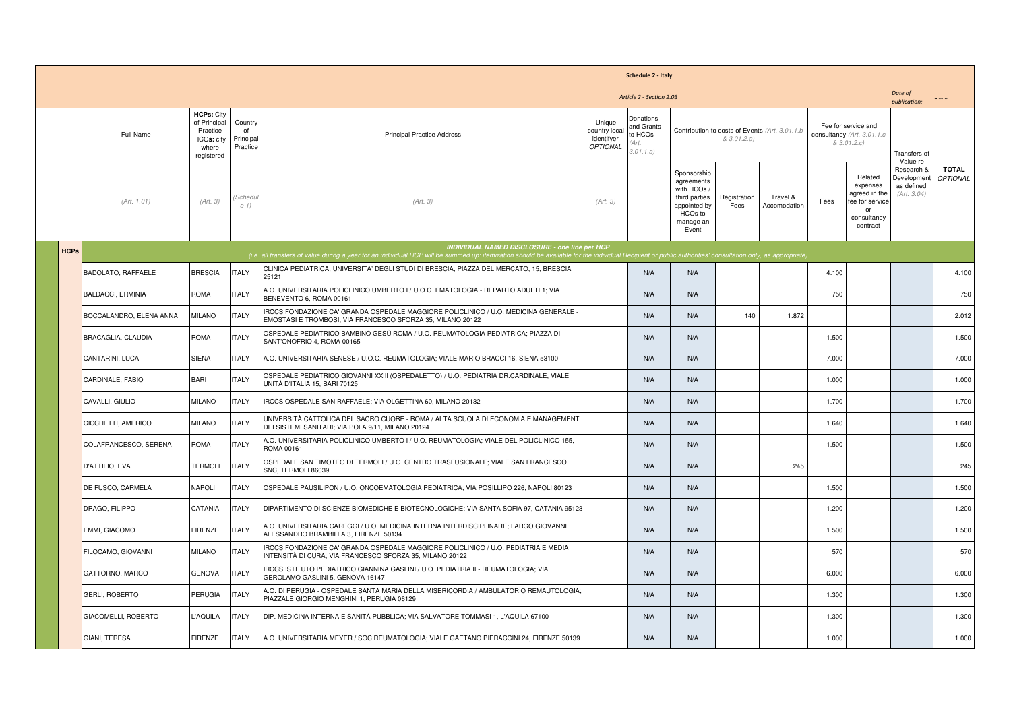|             | Schedule 2 - Italy                                  |                                                                                    |                                        |                                                                                                                                                                                                                                                                     |                                                          |                                                                                                                           |                                                                                                            |                      |                          |                                                                  |                                                                                          |                                                                    |                          |
|-------------|-----------------------------------------------------|------------------------------------------------------------------------------------|----------------------------------------|---------------------------------------------------------------------------------------------------------------------------------------------------------------------------------------------------------------------------------------------------------------------|----------------------------------------------------------|---------------------------------------------------------------------------------------------------------------------------|------------------------------------------------------------------------------------------------------------|----------------------|--------------------------|------------------------------------------------------------------|------------------------------------------------------------------------------------------|--------------------------------------------------------------------|--------------------------|
|             | Date of<br>Article 2 - Section 2.03<br>publication: |                                                                                    |                                        |                                                                                                                                                                                                                                                                     |                                                          |                                                                                                                           |                                                                                                            |                      |                          |                                                                  |                                                                                          |                                                                    |                          |
|             | Full Name                                           | <b>HCPs: City</b><br>of Principal<br>Practice<br>HCOs: city<br>where<br>registered | Country<br>0f<br>Principal<br>Practice | <b>Principal Practice Address</b>                                                                                                                                                                                                                                   | Unique<br>country local<br>identifyer<br><b>OPTIONAL</b> | Donations<br>and Grants<br>Contribution to costs of Events (Art. 3.01.1.b<br>to HCOs<br>& 3.01.2.a)<br>'Art.<br>3.01.1.a) |                                                                                                            |                      |                          | Fee for service and<br>consultancy (Art. 3.01.1.c<br>& 3.01.2.c) |                                                                                          | Transfers of<br>Value re                                           |                          |
|             | (Art. 1.01)                                         | (Art. 3)                                                                           | (Schedu<br>e 1)                        | (Art. 3)                                                                                                                                                                                                                                                            | (Art. 3)                                                 |                                                                                                                           | Sponsorship<br>agreements<br>with HCOs /<br>third parties<br>appointed by<br>HCOs to<br>manage an<br>Event | Registration<br>Fees | Travel &<br>Accomodation | Fees                                                             | Related<br>expenses<br>agreed in the<br>fee for service<br>or<br>consultancy<br>contract | Research &<br>Developmen <sup>®</sup><br>as defined<br>(Art. 3.04) | <b>TOTAL</b><br>OPTIONAL |
| <b>HCPs</b> |                                                     |                                                                                    |                                        | <b>INDIVIDUAL NAMED DISCLOSURE - one line per HCP</b><br>(i.e. all transfers of value during a year for an individual HCP will be summed up: itemization should be available for the individual Recipient or public authorities' consultation only, as appropriate) |                                                          |                                                                                                                           |                                                                                                            |                      |                          |                                                                  |                                                                                          |                                                                    |                          |
|             | BADOLATO, RAFFAELE                                  | <b>BRESCIA</b>                                                                     | <b>ITALY</b>                           | CLINICA PEDIATRICA, UNIVERSITA' DEGLI STUDI DI BRESCIA; PIAZZA DEL MERCATO, 15, BRESCIA<br>25121                                                                                                                                                                    |                                                          | N/A                                                                                                                       | N/A                                                                                                        |                      |                          | 4.100                                                            |                                                                                          |                                                                    | 4.100                    |
|             | <b>BALDACCI, ERMINIA</b>                            | <b>ROMA</b>                                                                        | <b>ITALY</b>                           | A.O. UNIVERSITARIA POLICLINICO UMBERTO I / U.O.C. EMATOLOGIA - REPARTO ADULTI 1; VIA<br>BENEVENTO 6, ROMA 00161                                                                                                                                                     |                                                          | N/A                                                                                                                       | N/A                                                                                                        |                      |                          | 750                                                              |                                                                                          |                                                                    | 750                      |
|             | BOCCALANDRO, ELENA ANNA                             | <b>MILANO</b>                                                                      | <b>ITALY</b>                           | IRCCS FONDAZIONE CA' GRANDA OSPEDALE MAGGIORE POLICLINICO / U.O. MEDICINA GENERALE -<br>EMOSTASI E TROMBOSI; VIA FRANCESCO SFORZA 35, MILANO 20122                                                                                                                  |                                                          | N/A                                                                                                                       | N/A                                                                                                        | 140                  | 1.872                    |                                                                  |                                                                                          |                                                                    | 2.012                    |
|             | BRACAGLIA, CLAUDIA                                  | <b>ROMA</b>                                                                        | <b>ITALY</b>                           | OSPEDALE PEDIATRICO BAMBINO GESÙ ROMA / U.O. REUMATOLOGIA PEDIATRICA; PIAZZA DI<br>SANT'ONOFRIO 4, ROMA 00165                                                                                                                                                       |                                                          | N/A                                                                                                                       | N/A                                                                                                        |                      |                          | 1.500                                                            |                                                                                          |                                                                    | 1.500                    |
|             | CANTARINI, LUCA                                     | <b>SIENA</b>                                                                       | <b>ITALY</b>                           | A.O. UNIVERSITARIA SENESE / U.O.C. REUMATOLOGIA; VIALE MARIO BRACCI 16, SIENA 53100                                                                                                                                                                                 |                                                          | N/A                                                                                                                       | N/A                                                                                                        |                      |                          | 7.000                                                            |                                                                                          |                                                                    | 7.000                    |
|             | CARDINALE, FABIO                                    | <b>BARI</b>                                                                        | <b>ITALY</b>                           | OSPEDALE PEDIATRICO GIOVANNI XXIII (OSPEDALETTO) / U.O. PEDIATRIA DR.CARDINALE; VIALE<br>UNITÀ D'ITALIA 15. BARI 70125                                                                                                                                              |                                                          | N/A                                                                                                                       | N/A                                                                                                        |                      |                          | 1.000                                                            |                                                                                          |                                                                    | 1.000                    |
|             | CAVALLI, GIULIO                                     | <b>MILANO</b>                                                                      | <b>ITALY</b>                           | IRCCS OSPEDALE SAN RAFFAELE; VIA OLGETTINA 60, MILANO 20132                                                                                                                                                                                                         |                                                          | N/A                                                                                                                       | N/A                                                                                                        |                      |                          | 1.700                                                            |                                                                                          |                                                                    | 1.700                    |
|             | CICCHETTI, AMERICO                                  | <b>MILANO</b>                                                                      | <b>ITALY</b>                           | UNIVERSITÀ CATTOLICA DEL SACRO CUORE - ROMA / ALTA SCUOLA DI ECONOMIA E MANAGEMENT<br>DEI SISTEMI SANITARI; VIA POLA 9/11, MILANO 20124                                                                                                                             |                                                          | N/A                                                                                                                       | N/A                                                                                                        |                      |                          | 1.640                                                            |                                                                                          |                                                                    | 1.640                    |
|             | COLAFRANCESCO, SERENA                               | <b>ROMA</b>                                                                        | <b>ITALY</b>                           | A.O. UNIVERSITARIA POLICLINICO UMBERTO I / U.O. REUMATOLOGIA; VIALE DEL POLICLINICO 155,<br>ROMA 00161                                                                                                                                                              |                                                          | N/A                                                                                                                       | N/A                                                                                                        |                      |                          | 1.500                                                            |                                                                                          |                                                                    | 1.500                    |
|             | D'ATTILIO, EVA                                      | <b>TERMOLI</b>                                                                     | <b>ITALY</b>                           | OSPEDALE SAN TIMOTEO DI TERMOLI / U.O. CENTRO TRASFUSIONALE; VIALE SAN FRANCESCO<br>SNC. TERMOLI 86039                                                                                                                                                              |                                                          | N/A                                                                                                                       | N/A                                                                                                        |                      | 245                      |                                                                  |                                                                                          |                                                                    | 245                      |
|             | DE FUSCO, CARMELA                                   | <b>NAPOLI</b>                                                                      | <b>ITALY</b>                           | OSPEDALE PAUSILIPON / U.O. ONCOEMATOLOGIA PEDIATRICA; VIA POSILLIPO 226, NAPOLI 80123                                                                                                                                                                               |                                                          | N/A                                                                                                                       | N/A                                                                                                        |                      |                          | 1.500                                                            |                                                                                          |                                                                    | 1.500                    |
|             | DRAGO, FILIPPO                                      | CATANIA                                                                            | <b>ITALY</b>                           | DIPARTIMENTO DI SCIENZE BIOMEDICHE E BIOTECNOLOGICHE; VIA SANTA SOFIA 97, CATANIA 95123                                                                                                                                                                             |                                                          | N/A                                                                                                                       | N/A                                                                                                        |                      |                          | 1.200                                                            |                                                                                          |                                                                    | 1.200                    |
|             | EMMI, GIACOMO                                       | <b>FIRENZE</b>                                                                     | <b>ITALY</b>                           | A.O. UNIVERSITARIA CAREGGI / U.O. MEDICINA INTERNA INTERDISCIPLINARE; LARGO GIOVANNI<br>ALESSANDRO BRAMBILLA 3, FIRENZE 50134                                                                                                                                       |                                                          | N/A                                                                                                                       | N/A                                                                                                        |                      |                          | 1.500                                                            |                                                                                          |                                                                    | 1.500                    |
|             | FILOCAMO, GIOVANNI                                  | <b>MILANO</b>                                                                      | <b>ITALY</b>                           | IRCCS FONDAZIONE CA' GRANDA OSPEDALE MAGGIORE POLICLINICO / U.O. PEDIATRIA E MEDIA<br>INTENSITÀ DI CURA; VIA FRANCESCO SFORZA 35, MILANO 20122                                                                                                                      |                                                          | N/A                                                                                                                       | N/A                                                                                                        |                      |                          | 570                                                              |                                                                                          |                                                                    | 570                      |
|             | GATTORNO, MARCO                                     | <b>GENOVA</b>                                                                      | <b>ITALY</b>                           | IRCCS ISTITUTO PEDIATRICO GIANNINA GASLINI / U.O. PEDIATRIA II - REUMATOLOGIA; VIA<br>GEROLAMO GASLINI 5, GENOVA 16147                                                                                                                                              |                                                          | N/A                                                                                                                       | N/A                                                                                                        |                      |                          | 6.000                                                            |                                                                                          |                                                                    | 6.000                    |
|             | GERLI, ROBERTO                                      | PERUGIA                                                                            | <b>ITALY</b>                           | A.O. DI PERUGIA - OSPEDALE SANTA MARIA DELLA MISERICORDIA / AMBULATORIO REMAUTOLOGIA;<br>PIAZZALE GIORGIO MENGHINI 1, PERUGIA 06129                                                                                                                                 |                                                          | N/A                                                                                                                       | N/A                                                                                                        |                      |                          | 1.300                                                            |                                                                                          |                                                                    | 1.300                    |
|             | GIACOMELLI, ROBERTO                                 | L'AQUILA                                                                           | <b>ITALY</b>                           | DIP. MEDICINA INTERNA E SANITÀ PUBBLICA; VIA SALVATORE TOMMASI 1, L'AQUILA 67100                                                                                                                                                                                    |                                                          | N/A                                                                                                                       | N/A                                                                                                        |                      |                          | 1.300                                                            |                                                                                          |                                                                    | 1.300                    |
|             | GIANI, TERESA                                       | <b>FIRENZE</b>                                                                     | <b>ITALY</b>                           | A.O. UNIVERSITARIA MEYER / SOC REUMATOLOGIA; VIALE GAETANO PIERACCINI 24, FIRENZE 50139                                                                                                                                                                             |                                                          | N/A                                                                                                                       | N/A                                                                                                        |                      |                          | 1.000                                                            |                                                                                          |                                                                    | 1.000                    |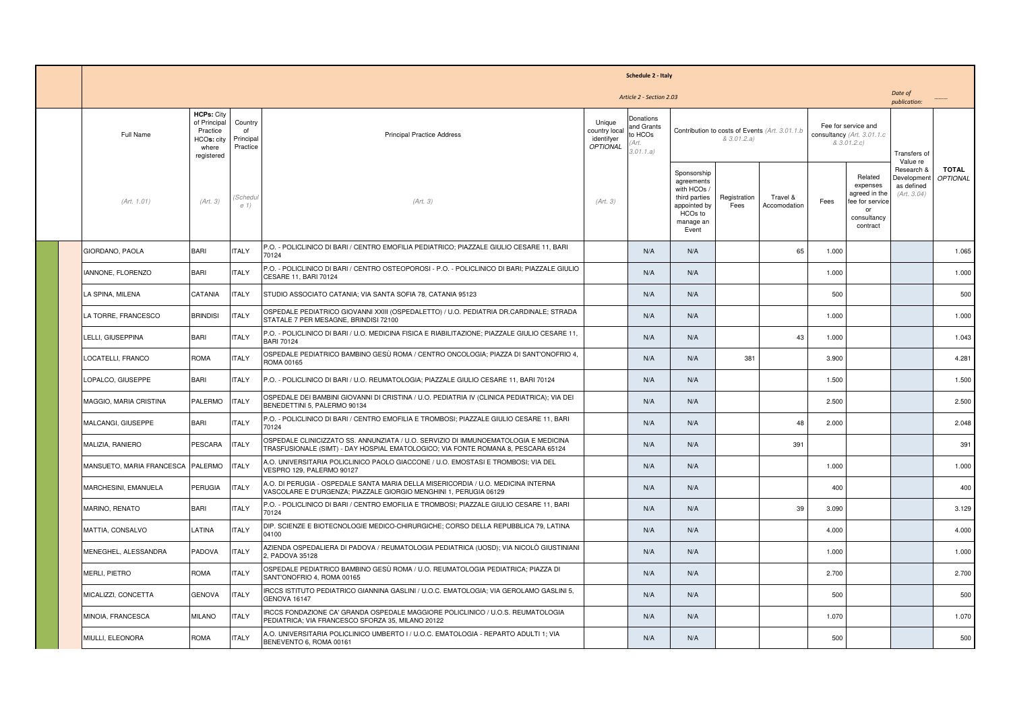| Schedule 2 - Italy                                  |                                                                                    |                                        |                                                                                                                                                                          |                                                   |                                                          |                                                                                                          |                      |                          |       |                                                                                          |                                                        |                                                 |  |  |  |  |  |  |  |  |  |  |  |  |  |  |  |  |  |                                                                  |  |  |                          |  |
|-----------------------------------------------------|------------------------------------------------------------------------------------|----------------------------------------|--------------------------------------------------------------------------------------------------------------------------------------------------------------------------|---------------------------------------------------|----------------------------------------------------------|----------------------------------------------------------------------------------------------------------|----------------------|--------------------------|-------|------------------------------------------------------------------------------------------|--------------------------------------------------------|-------------------------------------------------|--|--|--|--|--|--|--|--|--|--|--|--|--|--|--|--|--|------------------------------------------------------------------|--|--|--------------------------|--|
| Date of<br>Article 2 - Section 2.03<br>publication: |                                                                                    |                                        |                                                                                                                                                                          |                                                   |                                                          |                                                                                                          |                      |                          |       |                                                                                          |                                                        |                                                 |  |  |  |  |  |  |  |  |  |  |  |  |  |  |  |  |  |                                                                  |  |  |                          |  |
| Full Name                                           | <b>HCPs: City</b><br>of Principal<br>Practice<br>HCOs: city<br>where<br>registered | Country<br>of<br>Principal<br>Practice | <b>Principal Practice Address</b>                                                                                                                                        | Unique<br>country local<br>identifyer<br>OPTIONAL | Donations<br>and Grants<br>to HCOs<br>'Art.<br>3.01.1.a) | & 3.01.2.a)                                                                                              |                      |                          |       |                                                                                          |                                                        | Contribution to costs of Events (Art. 3.01.1.b) |  |  |  |  |  |  |  |  |  |  |  |  |  |  |  |  |  | Fee for service and<br>consultancy (Art. 3.01.1.c<br>& 3.01.2.c) |  |  | Transfers of<br>Value re |  |
| (Art. 1.01)                                         | (Art. 3)                                                                           | Schedul<br>e 1)                        | (Art. 3)                                                                                                                                                                 | (Art. 3)                                          |                                                          | Sponsorship<br>agreements<br>with HCOs<br>third parties<br>appointed by<br>HCOs to<br>manage an<br>Event | Registration<br>Fees | Travel &<br>Accomodation | Fees  | Related<br>expenses<br>agreed in the<br>fee for service<br>or<br>consultancy<br>contract | Research &<br>Development<br>as defined<br>(Art. 3.04) | <b>TOTAL</b><br><b>OPTIONAL</b>                 |  |  |  |  |  |  |  |  |  |  |  |  |  |  |  |  |  |                                                                  |  |  |                          |  |
| GIORDANO, PAOLA                                     | <b>BARI</b>                                                                        | <b>ITALY</b>                           | P.O. - POLICLINICO DI BARI / CENTRO EMOFILIA PEDIATRICO; PIAZZALE GIULIO CESARE 11, BARI<br>70124                                                                        |                                                   | N/A                                                      | N/A                                                                                                      |                      | 65                       | 1.000 |                                                                                          |                                                        | 1.065                                           |  |  |  |  |  |  |  |  |  |  |  |  |  |  |  |  |  |                                                                  |  |  |                          |  |
| <b>IANNONE, FLORENZO</b>                            | <b>BARI</b>                                                                        | <b>ITALY</b>                           | P.O. - POLICLINICO DI BARI / CENTRO OSTEOPOROSI - P.O. - POLICLINICO DI BARI; PIAZZALE GIULIO<br>CESARE 11, BARI 70124                                                   |                                                   | N/A                                                      | N/A                                                                                                      |                      |                          | 1.000 |                                                                                          |                                                        | 1.000                                           |  |  |  |  |  |  |  |  |  |  |  |  |  |  |  |  |  |                                                                  |  |  |                          |  |
| LA SPINA, MILENA                                    | CATANIA                                                                            | <b>ITALY</b>                           | STUDIO ASSOCIATO CATANIA; VIA SANTA SOFIA 78, CATANIA 95123                                                                                                              |                                                   | N/A                                                      | N/A                                                                                                      |                      |                          | 500   |                                                                                          |                                                        | 500                                             |  |  |  |  |  |  |  |  |  |  |  |  |  |  |  |  |  |                                                                  |  |  |                          |  |
| LA TORRE, FRANCESCO                                 | <b>BRINDISI</b>                                                                    | <b>TALY</b>                            | OSPEDALE PEDIATRICO GIOVANNI XXIII (OSPEDALETTO) / U.O. PEDIATRIA DR.CARDINALE; STRADA<br>STATALE 7 PER MESAGNE, BRINDISI 72100                                          |                                                   | N/A                                                      | N/A                                                                                                      |                      |                          | 1.000 |                                                                                          |                                                        | 1.000                                           |  |  |  |  |  |  |  |  |  |  |  |  |  |  |  |  |  |                                                                  |  |  |                          |  |
| LELLI, GIUSEPPINA                                   | <b>BARI</b>                                                                        | <b>ITALY</b>                           | P.O. - POLICLINICO DI BARI / U.O. MEDICINA FISICA E RIABILITAZIONE; PIAZZALE GIULIO CESARE 11,<br><b>BARI 70124</b>                                                      |                                                   | N/A                                                      | N/A                                                                                                      |                      | 43                       | 1.000 |                                                                                          |                                                        | 1.043                                           |  |  |  |  |  |  |  |  |  |  |  |  |  |  |  |  |  |                                                                  |  |  |                          |  |
| LOCATELLI, FRANCO                                   | <b>ROMA</b>                                                                        | <b>ITALY</b>                           | OSPEDALE PEDIATRICO BAMBINO GESÙ ROMA / CENTRO ONCOLOGIA; PIAZZA DI SANT'ONOFRIO 4,<br>ROMA 00165                                                                        |                                                   | N/A                                                      | N/A                                                                                                      | 381                  |                          | 3.900 |                                                                                          |                                                        | 4.281                                           |  |  |  |  |  |  |  |  |  |  |  |  |  |  |  |  |  |                                                                  |  |  |                          |  |
| LOPALCO, GIUSEPPE                                   | <b>BARI</b>                                                                        | <b>ITALY</b>                           | P.O. - POLICLINICO DI BARI / U.O. REUMATOLOGIA; PIAZZALE GIULIO CESARE 11, BARI 70124                                                                                    |                                                   | N/A                                                      | N/A                                                                                                      |                      |                          | 1.500 |                                                                                          |                                                        | 1.500                                           |  |  |  |  |  |  |  |  |  |  |  |  |  |  |  |  |  |                                                                  |  |  |                          |  |
| MAGGIO, MARIA CRISTINA                              | PALERMO                                                                            | <b>ITALY</b>                           | OSPEDALE DEI BAMBINI GIOVANNI DI CRISTINA / U.O. PEDIATRIA IV (CLINICA PEDIATRICA); VIA DEI<br>BENEDETTINI 5, PALERMO 90134                                              |                                                   | N/A                                                      | N/A                                                                                                      |                      |                          | 2.500 |                                                                                          |                                                        | 2.500                                           |  |  |  |  |  |  |  |  |  |  |  |  |  |  |  |  |  |                                                                  |  |  |                          |  |
| MALCANGI, GIUSEPPE                                  | <b>BARI</b>                                                                        | <b>ITALY</b>                           | P.O. - POLICLINICO DI BARI / CENTRO EMOFILIA E TROMBOSI; PIAZZALE GIULIO CESARE 11, BARI<br>70124                                                                        |                                                   | N/A                                                      | N/A                                                                                                      |                      | 48                       | 2.000 |                                                                                          |                                                        | 2.048                                           |  |  |  |  |  |  |  |  |  |  |  |  |  |  |  |  |  |                                                                  |  |  |                          |  |
| MALIZIA, RANIERO                                    | PESCARA                                                                            | <b>ITALY</b>                           | OSPEDALE CLINICIZZATO SS. ANNUNZIATA / U.O. SERVIZIO DI IMMUNOEMATOLOGIA E MEDICINA<br>TRASFUSIONALE (SIMT) - DAY HOSPIAL EMATOLOGICO; VIA FONTE ROMANA 8, PESCARA 65124 |                                                   | N/A                                                      | N/A                                                                                                      |                      | 391                      |       |                                                                                          |                                                        | 391                                             |  |  |  |  |  |  |  |  |  |  |  |  |  |  |  |  |  |                                                                  |  |  |                          |  |
| MANSUETO, MARIA FRANCESCA                           | PALERMO                                                                            | <b>ITALY</b>                           | A.O. UNIVERSITARIA POLICLINICO PAOLO GIACCONE / U.O. EMOSTASI E TROMBOSI; VIA DEL<br>VESPRO 129, PALERMO 90127                                                           |                                                   | N/A                                                      | N/A                                                                                                      |                      |                          | 1.000 |                                                                                          |                                                        | 1.000                                           |  |  |  |  |  |  |  |  |  |  |  |  |  |  |  |  |  |                                                                  |  |  |                          |  |
| MARCHESINI, EMANUELA                                | PERUGIA                                                                            | <b>ITALY</b>                           | A.O. DI PERUGIA - OSPEDALE SANTA MARIA DELLA MISERICORDIA / U.O. MEDICINA INTERNA<br>VASCOLARE E D'URGENZA; PIAZZALE GIORGIO MENGHINI 1, PERUGIA 06129                   |                                                   | N/A                                                      | N/A                                                                                                      |                      |                          | 400   |                                                                                          |                                                        | 400                                             |  |  |  |  |  |  |  |  |  |  |  |  |  |  |  |  |  |                                                                  |  |  |                          |  |
| MARINO, RENATO                                      | <b>BARI</b>                                                                        | <b>TALY</b>                            | P.O. - POLICLINICO DI BARI / CENTRO EMOFILIA E TROMBOSI; PIAZZALE GIULIO CESARE 11, BARI<br>70124                                                                        |                                                   | N/A                                                      | N/A                                                                                                      |                      | 39                       | 3.090 |                                                                                          |                                                        | 3.129                                           |  |  |  |  |  |  |  |  |  |  |  |  |  |  |  |  |  |                                                                  |  |  |                          |  |
| MATTIA, CONSALVO                                    | LATINA                                                                             | <b>ITALY</b>                           | DIP. SCIENZE E BIOTECNOLOGIE MEDICO-CHIRURGICHE; CORSO DELLA REPUBBLICA 79, LATINA<br>04100                                                                              |                                                   | N/A                                                      | N/A                                                                                                      |                      |                          | 4.000 |                                                                                          |                                                        | 4.000                                           |  |  |  |  |  |  |  |  |  |  |  |  |  |  |  |  |  |                                                                  |  |  |                          |  |
| MENEGHEL, ALESSANDRA                                | PADOVA                                                                             | <b>ITALY</b>                           | AZIENDA OSPEDALIERA DI PADOVA / REUMATOLOGIA PEDIATRICA (UOSD); VIA NICOLÒ GIUSTINIANI<br>2. PADOVA 35128                                                                |                                                   | N/A                                                      | N/A                                                                                                      |                      |                          | 1.000 |                                                                                          |                                                        | 1.000                                           |  |  |  |  |  |  |  |  |  |  |  |  |  |  |  |  |  |                                                                  |  |  |                          |  |
| MERLI, PIETRO                                       | ROMA                                                                               | ITALY                                  | OSPEDALE PEDIATRICO BAMBINO GESÙ ROMA / U.O. REUMATOLOGIA PEDIATRICA; PIAZZA DI<br>SANT'ONOFRIO 4, ROMA 00165                                                            |                                                   | N/A                                                      | N/A                                                                                                      |                      |                          | 2.700 |                                                                                          |                                                        | 2.700                                           |  |  |  |  |  |  |  |  |  |  |  |  |  |  |  |  |  |                                                                  |  |  |                          |  |
| MICALIZZI, CONCETTA                                 | <b>GENOVA</b>                                                                      | <b>ITALY</b>                           | IRCCS ISTITUTO PEDIATRICO GIANNINA GASLINI / U.O.C. EMATOLOGIA; VIA GEROLAMO GASLINI 5,<br>GENOVA 16147                                                                  |                                                   | N/A                                                      | N/A                                                                                                      |                      |                          | 500   |                                                                                          |                                                        | 500                                             |  |  |  |  |  |  |  |  |  |  |  |  |  |  |  |  |  |                                                                  |  |  |                          |  |
| MINOIA, FRANCESCA                                   | <b>MILANO</b>                                                                      | <b>ITALY</b>                           | IRCCS FONDAZIONE CA' GRANDA OSPEDALE MAGGIORE POLICLINICO / U.O.S. REUMATOLOGIA<br>PEDIATRICA; VIA FRANCESCO SFORZA 35, MILANO 20122                                     |                                                   | N/A                                                      | N/A                                                                                                      |                      |                          | 1.070 |                                                                                          |                                                        | 1.070                                           |  |  |  |  |  |  |  |  |  |  |  |  |  |  |  |  |  |                                                                  |  |  |                          |  |
| MIULLI, ELEONORA                                    | <b>ROMA</b>                                                                        | <b>ITALY</b>                           | A.O. UNIVERSITARIA POLICLINICO UMBERTO I / U.O.C. EMATOLOGIA - REPARTO ADULTI 1; VIA<br>BENEVENTO 6, ROMA 00161                                                          |                                                   | N/A                                                      | N/A                                                                                                      |                      |                          | 500   |                                                                                          |                                                        | 500                                             |  |  |  |  |  |  |  |  |  |  |  |  |  |  |  |  |  |                                                                  |  |  |                          |  |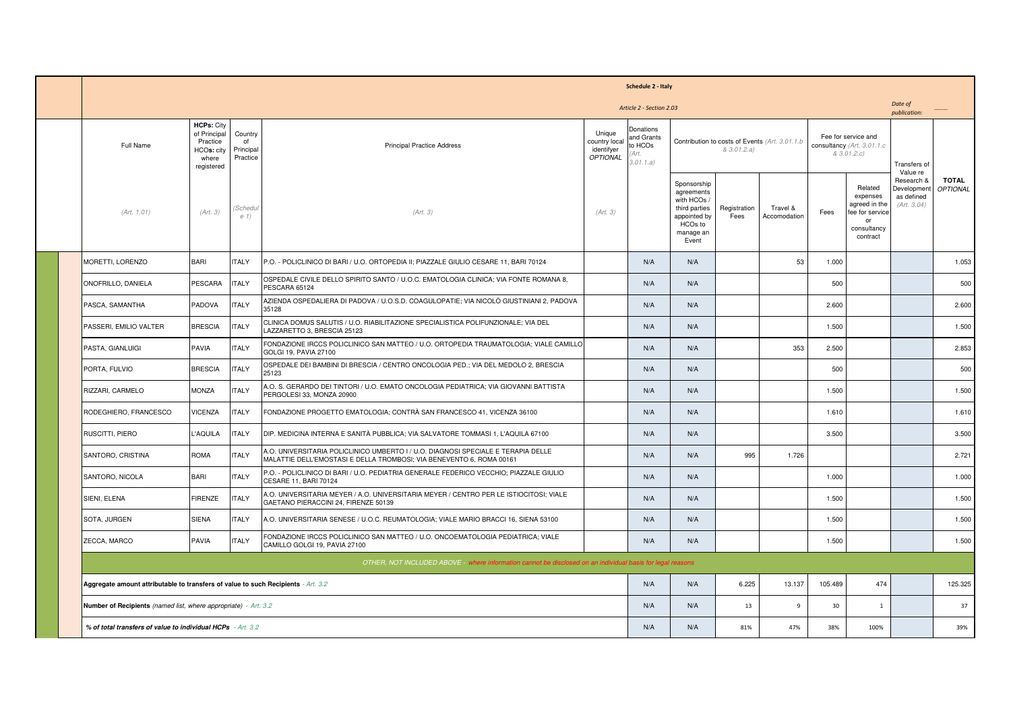| Schedule 2 - Italy                                                                                         |                                                                                    |                                        |                                                                                                                                                           |                                                   |                                                          |                                                                                                            |                      |                                                 |                                                                  |                                                                                          |                                                        |                                 |
|------------------------------------------------------------------------------------------------------------|------------------------------------------------------------------------------------|----------------------------------------|-----------------------------------------------------------------------------------------------------------------------------------------------------------|---------------------------------------------------|----------------------------------------------------------|------------------------------------------------------------------------------------------------------------|----------------------|-------------------------------------------------|------------------------------------------------------------------|------------------------------------------------------------------------------------------|--------------------------------------------------------|---------------------------------|
| Date of<br>Article 2 - Section 2.03<br>publication:                                                        |                                                                                    |                                        |                                                                                                                                                           |                                                   |                                                          |                                                                                                            |                      |                                                 |                                                                  |                                                                                          |                                                        |                                 |
| Full Name                                                                                                  | <b>HCPs: City</b><br>of Principal<br>Practice<br>HCOs: city<br>where<br>registered | Country<br>of<br>Principal<br>Practice | <b>Principal Practice Address</b>                                                                                                                         | Unique<br>country local<br>identifyer<br>OPTIONAL | Donations<br>and Grants<br>to HCOs<br>'Art.<br>3.01.1.a) |                                                                                                            | & 3.01.2.a)          | Contribution to costs of Events (Art. 3.01.1.b) | Fee for service and<br>consultancy (Art. 3.01.1.c<br>& 3.01.2.c) |                                                                                          | Transfers of<br>Value re                               |                                 |
| (Art. 1.01)                                                                                                | (Art. 3)                                                                           | 'Schedu<br>e 1)                        | (Art. 3)                                                                                                                                                  | (Art. 3)                                          |                                                          | Sponsorship<br>agreements<br>with HCOs /<br>third parties<br>appointed by<br>HCOs to<br>manage an<br>Event | Registration<br>Fees | Travel &<br>Accomodation                        | Fees                                                             | Related<br>expenses<br>agreed in the<br>fee for service<br>or<br>consultancy<br>contract | Research &<br>Development<br>as defined<br>(Art. 3.04) | <b>TOTAL</b><br><b>OPTIONAL</b> |
| MORETTI, LORENZO                                                                                           | <b>BARI</b>                                                                        | <b>ITALY</b>                           | P.O. - POLICLINICO DI BARI / U.O. ORTOPEDIA II; PIAZZALE GIULIO CESARE 11, BARI 70124                                                                     |                                                   | N/A                                                      | N/A                                                                                                        |                      | 53                                              | 1.000                                                            |                                                                                          |                                                        | 1.053                           |
| ONOFRILLO, DANIELA                                                                                         | PESCARA                                                                            | <b>ITALY</b>                           | OSPEDALE CIVILE DELLO SPIRITO SANTO / U.O.C. EMATOLOGIA CLINICA; VIA FONTE ROMANA 8,<br>PESCARA 65124                                                     |                                                   | N/A                                                      | N/A                                                                                                        |                      |                                                 | 500                                                              |                                                                                          |                                                        | 500                             |
| PASCA, SAMANTHA                                                                                            | PADOVA                                                                             | <b>ITALY</b>                           | AZIENDA OSPEDALIERA DI PADOVA / U.O.S.D. COAGULOPATIE; VIA NICOLÒ GIUSTINIANI 2, PADOVA<br>35128                                                          |                                                   | N/A                                                      | N/A                                                                                                        |                      |                                                 | 2.600                                                            |                                                                                          |                                                        | 2.600                           |
| PASSERI, EMILIO VALTER                                                                                     | <b>BRESCIA</b>                                                                     | <b>ITALY</b>                           | CLINICA DOMUS SALUTIS / U.O. RIABILITAZIONE SPECIALISTICA POLIFUNZIONALE; VIA DEL<br>LAZZARETTO 3. BRESCIA 25123                                          |                                                   | N/A                                                      | N/A                                                                                                        |                      |                                                 | 1.500                                                            |                                                                                          |                                                        | 1.500                           |
| PASTA, GIANLUIGI                                                                                           | PAVIA                                                                              | <b>ITALY</b>                           | FONDAZIONE IRCCS POLICLINICO SAN MATTEO / U.O. ORTOPEDIA TRAUMATOLOGIA; VIALE CAMILLO<br>GOLGI 19, PAVIA 27100                                            |                                                   | N/A                                                      | N/A                                                                                                        |                      | 353                                             | 2.500                                                            |                                                                                          |                                                        | 2.853                           |
| PORTA, FULVIO                                                                                              | <b>BRESCIA</b>                                                                     | <b>ITALY</b>                           | OSPEDALE DEI BAMBINI DI BRESCIA / CENTRO ONCOLOGIA PED.; VIA DEL MEDOLO 2, BRESCIA<br>25123                                                               |                                                   | N/A                                                      | N/A                                                                                                        |                      |                                                 | 500                                                              |                                                                                          |                                                        | 500                             |
| RIZZARI, CARMELO                                                                                           | MONZA                                                                              | <b>ITALY</b>                           | A.O. S. GERARDO DEI TINTORI / U.O. EMATO ONCOLOGIA PEDIATRICA; VIA GIOVANNI BATTISTA<br>PERGOLESI 33, MONZA 20900                                         |                                                   | N/A                                                      | N/A                                                                                                        |                      |                                                 | 1.500                                                            |                                                                                          |                                                        | 1.500                           |
| RODEGHIERO, FRANCESCO                                                                                      | VICENZA                                                                            | <b>ITALY</b>                           | FONDAZIONE PROGETTO EMATOLOGIA; CONTRÀ SAN FRANCESCO 41, VICENZA 36100                                                                                    |                                                   | N/A                                                      | N/A                                                                                                        |                      |                                                 | 1.610                                                            |                                                                                          |                                                        | 1.610                           |
| RUSCITTI, PIERO                                                                                            | L'AQUILA                                                                           | <b>ITALY</b>                           | DIP. MEDICINA INTERNA E SANITÀ PUBBLICA; VIA SALVATORE TOMMASI 1, L'AQUILA 67100                                                                          |                                                   | N/A                                                      | N/A                                                                                                        |                      |                                                 | 3.500                                                            |                                                                                          |                                                        | 3.500                           |
| SANTORO, CRISTINA                                                                                          | <b>ROMA</b>                                                                        | <b>ITALY</b>                           | A.O. UNIVERSITARIA POLICLINICO UMBERTO I / U.O. DIAGNOSI SPECIALE E TERAPIA DELLE<br>MALATTIE DELL'EMOSTASI E DELLA TROMBOSI; VIA BENEVENTO 6, ROMA 00161 |                                                   | N/A                                                      | N/A                                                                                                        | 995                  | 1.726                                           |                                                                  |                                                                                          |                                                        | 2.721                           |
| SANTORO, NICOLA                                                                                            | <b>BARI</b>                                                                        | <b>ITALY</b>                           | P.O. - POLICLINICO DI BARI / U.O. PEDIATRIA GENERALE FEDERICO VECCHIO; PIAZZALE GIULIO<br>CESARE 11, BARI 70124                                           |                                                   | N/A                                                      | N/A                                                                                                        |                      |                                                 | 1.000                                                            |                                                                                          |                                                        | 1.000                           |
| SIENI, ELENA                                                                                               | <b>FIRENZE</b>                                                                     | <b>ITALY</b>                           | A.O. UNIVERSITARIA MEYER / A.O. UNIVERSITARIA MEYER / CENTRO PER LE ISTIOCITOSI; VIALE<br>GAETANO PIERACCINI 24. FIRENZE 50139                            |                                                   | N/A                                                      | N/A                                                                                                        |                      |                                                 | 1.500                                                            |                                                                                          |                                                        | 1.500                           |
| SOTA, JURGEN                                                                                               | <b>SIENA</b>                                                                       | <b>ITALY</b>                           | A.O. UNIVERSITARIA SENESE / U.O.C. REUMATOLOGIA; VIALE MARIO BRACCI 16, SIENA 53100                                                                       |                                                   | N/A                                                      | N/A                                                                                                        |                      |                                                 | 1.500                                                            |                                                                                          |                                                        | 1.500                           |
| ZECCA, MARCO                                                                                               | <b>PAVIA</b>                                                                       | <b>ITALY</b>                           | FONDAZIONE IRCCS POLICLINICO SAN MATTEO / U.O. ONCOEMATOLOGIA PEDIATRICA; VIALE<br>CAMILLO GOLGI 19, PAVIA 27100                                          |                                                   | N/A                                                      | N/A                                                                                                        |                      |                                                 | 1.500                                                            |                                                                                          |                                                        | 1.500                           |
| OTHER, NOT INCLUDED ABOVE - where information cannot be disclosed on an individual basis for legal reasons |                                                                                    |                                        |                                                                                                                                                           |                                                   |                                                          |                                                                                                            |                      |                                                 |                                                                  |                                                                                          |                                                        |                                 |
| Aggregate amount attributable to transfers of value to such Recipients - Art. 3.2                          |                                                                                    |                                        |                                                                                                                                                           |                                                   | N/A                                                      | N/A                                                                                                        | 6.225                | 13.137                                          | 105.489                                                          | 474                                                                                      |                                                        | 125.325                         |
| <b>Number of Recipients</b> (named list, where appropriate) - Art. 3.2                                     |                                                                                    |                                        |                                                                                                                                                           |                                                   |                                                          | N/A                                                                                                        | 13                   | 9                                               | 30                                                               | <sup>1</sup>                                                                             |                                                        | 37                              |
| % of total transfers of value to individual HCPs - Art. 3.2                                                |                                                                                    |                                        |                                                                                                                                                           |                                                   | N/A                                                      | N/A                                                                                                        | 81%                  | 47%                                             | 38%                                                              | 100%                                                                                     |                                                        | 39%                             |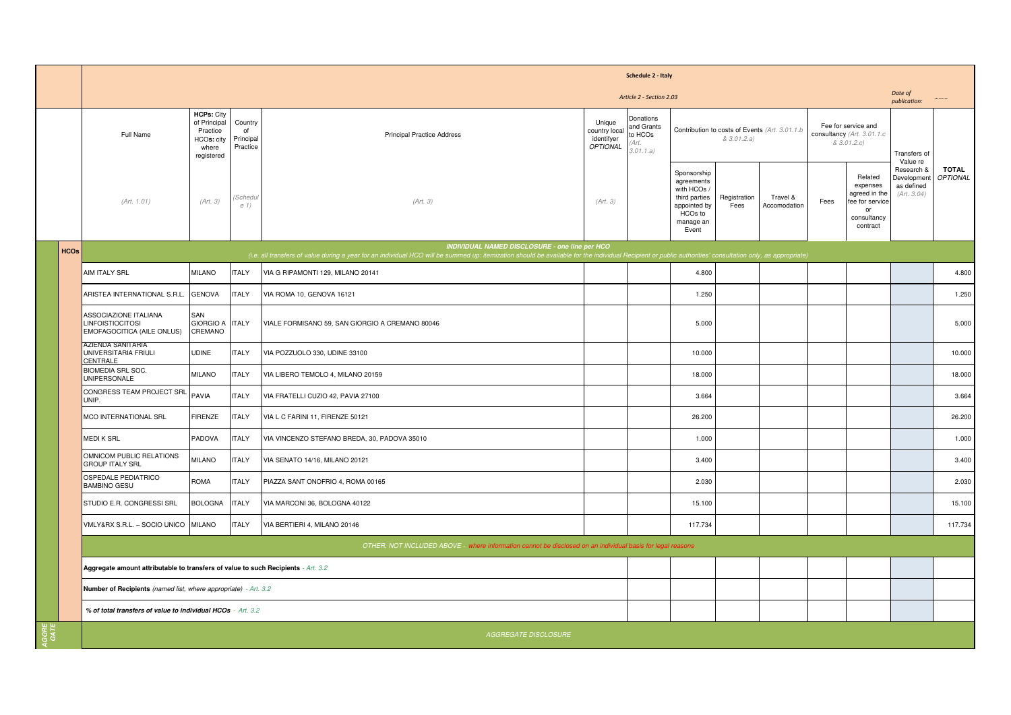|             |                                                                                       |                                                                                    |                                        |                                                                                                                                                                                                                                                                     |                                                          | Schedule 2 - Italy                                      |                                                                                                            |                      |                                                |                                                                   |                                                                                          |                                                       |                                 |  |  |  |  |
|-------------|---------------------------------------------------------------------------------------|------------------------------------------------------------------------------------|----------------------------------------|---------------------------------------------------------------------------------------------------------------------------------------------------------------------------------------------------------------------------------------------------------------------|----------------------------------------------------------|---------------------------------------------------------|------------------------------------------------------------------------------------------------------------|----------------------|------------------------------------------------|-------------------------------------------------------------------|------------------------------------------------------------------------------------------|-------------------------------------------------------|---------------------------------|--|--|--|--|
|             |                                                                                       | Article 2 - Section 2.03                                                           |                                        |                                                                                                                                                                                                                                                                     |                                                          |                                                         |                                                                                                            |                      |                                                |                                                                   |                                                                                          |                                                       | Date of<br>publication:         |  |  |  |  |
|             | Full Name                                                                             | <b>HCPs: City</b><br>of Principal<br>Practice<br>HCOs: city<br>where<br>registered | Country<br>of<br>Principal<br>Practice | <b>Principal Practice Address</b>                                                                                                                                                                                                                                   | Unique<br>country local<br>identifyer<br><b>OPTIONAL</b> | Donations<br>and Grants<br>to HCOs<br>Art.<br>3.01.1.a) |                                                                                                            | & 3.01.2.a)          | Contribution to costs of Events (Art. 3.01.1.b | Fee for service and<br>consultancy (Art. 3.01.1.c)<br>& 3.01.2.c) |                                                                                          | Transfers of<br>Value re                              |                                 |  |  |  |  |
|             | (Art. 1.01)                                                                           | (Art. 3)                                                                           | 'Schedu<br>e 1)                        | (Art. 3)                                                                                                                                                                                                                                                            | (Art. 3)                                                 |                                                         | Sponsorship<br>agreements<br>with HCOs /<br>third parties<br>appointed by<br>HCOs to<br>manage an<br>Event | Registration<br>Fees | Travel &<br>Accomodation                       | Fees                                                              | Related<br>expenses<br>agreed in the<br>fee for service<br>or<br>consultancy<br>contract | Research &<br>Developmen<br>as defined<br>(Art. 3.04) | <b>TOTAL</b><br><b>OPTIONAL</b> |  |  |  |  |
| <b>HCOs</b> |                                                                                       |                                                                                    |                                        | <b>INDIVIDUAL NAMED DISCLOSURE - one line per HCO</b><br>(i.e. all transfers of value during a year for an individual HCO will be summed up: itemization should be available for the individual Recipient or public authorities' consultation only, as appropriate) |                                                          |                                                         |                                                                                                            |                      |                                                |                                                                   |                                                                                          |                                                       |                                 |  |  |  |  |
|             | AIM ITALY SRL                                                                         | <b>MILANO</b>                                                                      | <b>ITALY</b>                           | VIA G RIPAMONTI 129. MILANO 20141                                                                                                                                                                                                                                   |                                                          |                                                         | 4.800                                                                                                      |                      |                                                |                                                                   |                                                                                          |                                                       | 4.800                           |  |  |  |  |
|             | ARISTEA INTERNATIONAL S.R.L.                                                          | <b>GENOVA</b>                                                                      | <b>ITALY</b>                           | VIA ROMA 10, GENOVA 16121                                                                                                                                                                                                                                           |                                                          |                                                         | 1.250                                                                                                      |                      |                                                |                                                                   |                                                                                          |                                                       | 1.250                           |  |  |  |  |
|             | ASSOCIAZIONE ITALIANA<br><b>LINFOISTIOCITOSI</b><br><b>EMOFAGOCITICA (AILE ONLUS)</b> | SAN<br><b>GIORGIO A</b><br>CREMANO                                                 | <b>ITALY</b>                           | VIALE FORMISANO 59, SAN GIORGIO A CREMANO 80046                                                                                                                                                                                                                     |                                                          |                                                         | 5.000                                                                                                      |                      |                                                |                                                                   |                                                                                          |                                                       | 5.000                           |  |  |  |  |
|             | AZIENDA SANITARIA<br>UNIVERSITARIA FRIULI<br>CENTRALE                                 | <b>UDINE</b>                                                                       | <b>ITALY</b>                           | VIA POZZUOLO 330, UDINE 33100                                                                                                                                                                                                                                       |                                                          |                                                         | 10.000                                                                                                     |                      |                                                |                                                                   |                                                                                          |                                                       | 10.000                          |  |  |  |  |
|             | <b>BIOMEDIA SRL SOC.</b><br><b>UNIPERSONALE</b>                                       | <b>MILANO</b>                                                                      | <b>ITALY</b>                           | VIA LIBERO TEMOLO 4, MILANO 20159                                                                                                                                                                                                                                   |                                                          |                                                         | 18.000                                                                                                     |                      |                                                |                                                                   |                                                                                          |                                                       | 18.000                          |  |  |  |  |
|             | CONGRESS TEAM PROJECT SRL<br>UNIP.                                                    | PAVIA                                                                              | <b>ITALY</b>                           | VIA FRATELLI CUZIO 42, PAVIA 27100                                                                                                                                                                                                                                  |                                                          |                                                         | 3.664                                                                                                      |                      |                                                |                                                                   |                                                                                          |                                                       | 3.664                           |  |  |  |  |
|             | MCO INTERNATIONAL SRL                                                                 | <b>FIRENZE</b>                                                                     | <b>ITALY</b>                           | VIA L C FARINI 11, FIRENZE 50121                                                                                                                                                                                                                                    |                                                          |                                                         | 26.200                                                                                                     |                      |                                                |                                                                   |                                                                                          |                                                       | 26.200                          |  |  |  |  |
|             | <b>MEDIK SRL</b>                                                                      | PADOVA                                                                             | <b>ITALY</b>                           | VIA VINCENZO STEFANO BREDA, 30, PADOVA 35010                                                                                                                                                                                                                        |                                                          |                                                         | 1.000                                                                                                      |                      |                                                |                                                                   |                                                                                          |                                                       | 1.000                           |  |  |  |  |
|             | OMNICOM PUBLIC RELATIONS<br><b>GROUP ITALY SRL</b>                                    | <b>MILANO</b>                                                                      | <b>ITALY</b>                           | VIA SENATO 14/16, MILANO 20121                                                                                                                                                                                                                                      |                                                          |                                                         | 3.400                                                                                                      |                      |                                                |                                                                   |                                                                                          |                                                       | 3.400                           |  |  |  |  |
|             | OSPEDALE PEDIATRICO<br><b>BAMBINO GESU</b>                                            | <b>ROMA</b>                                                                        | <b>ITALY</b>                           | PIAZZA SANT ONOFRIO 4, ROMA 00165                                                                                                                                                                                                                                   |                                                          |                                                         | 2.030                                                                                                      |                      |                                                |                                                                   |                                                                                          |                                                       | 2.030                           |  |  |  |  |
|             | STUDIO E.R. CONGRESSI SRL                                                             | <b>BOLOGNA</b>                                                                     | <b>ITALY</b>                           | VIA MARCONI 36, BOLOGNA 40122                                                                                                                                                                                                                                       |                                                          |                                                         | 15.100                                                                                                     |                      |                                                |                                                                   |                                                                                          |                                                       | 15.100                          |  |  |  |  |
|             | VMLY&RX S.R.L. - SOCIO UNICO                                                          | <b>MILANO</b>                                                                      | <b>ITALY</b>                           | VIA BERTIERI 4, MILANO 20146                                                                                                                                                                                                                                        |                                                          |                                                         | 117.734                                                                                                    |                      |                                                |                                                                   |                                                                                          |                                                       | 117.734                         |  |  |  |  |
|             |                                                                                       |                                                                                    |                                        | OTHER, NOT INCLUDED ABOVE - where information cannot be disclosed on an individual basis for legal reasons                                                                                                                                                          |                                                          |                                                         |                                                                                                            |                      |                                                |                                                                   |                                                                                          |                                                       |                                 |  |  |  |  |
|             | Aggregate amount attributable to transfers of value to such Recipients - Art. 3.2     |                                                                                    |                                        |                                                                                                                                                                                                                                                                     |                                                          |                                                         |                                                                                                            |                      |                                                |                                                                   |                                                                                          |                                                       |                                 |  |  |  |  |
|             |                                                                                       | Number of Recipients (named list, where appropriate) - Art. 3.2                    |                                        |                                                                                                                                                                                                                                                                     |                                                          |                                                         |                                                                                                            |                      |                                                |                                                                   |                                                                                          |                                                       |                                 |  |  |  |  |
|             | % of total transfers of value to individual HCOs - Art. 3.2                           |                                                                                    |                                        |                                                                                                                                                                                                                                                                     |                                                          |                                                         |                                                                                                            |                      |                                                |                                                                   |                                                                                          |                                                       |                                 |  |  |  |  |
|             |                                                                                       |                                                                                    |                                        | AGGREGATE DISCLOSURE                                                                                                                                                                                                                                                |                                                          |                                                         |                                                                                                            |                      |                                                |                                                                   |                                                                                          |                                                       |                                 |  |  |  |  |